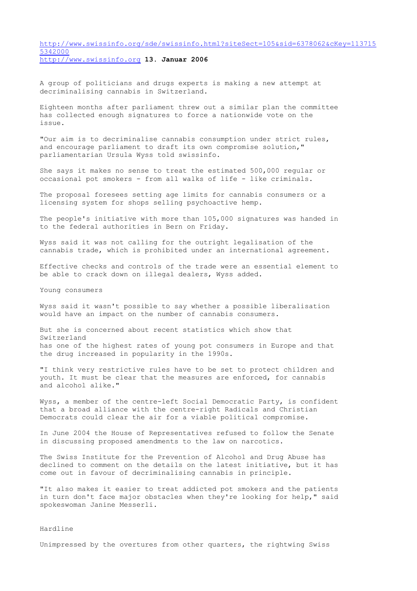[http://www.swissinfo.org/sde/swissinfo.html?siteSect=105&sid=6378062&cKey=113715](http://www.swissinfo.org/sde/swissinfo.html?siteSect=105&sid=6378062&cKey=1137155342000_blank) [5342000](http://www.swissinfo.org/sde/swissinfo.html?siteSect=105&sid=6378062&cKey=1137155342000_blank) [http://www.swissinfo.org](http://www.swissinfo.org_blank) **13. Januar 2006**

A group of politicians and drugs experts is making a new attempt at decriminalising cannabis in Switzerland.

Eighteen months after parliament threw out a similar plan the committee has collected enough signatures to force a nationwide vote on the issue.

"Our aim is to decriminalise cannabis consumption under strict rules, and encourage parliament to draft its own compromise solution," parliamentarian Ursula Wyss told swissinfo.

She says it makes no sense to treat the estimated 500,000 regular or occasional pot smokers - from all walks of life - like criminals.

The proposal foresees setting age limits for cannabis consumers or a licensing system for shops selling psychoactive hemp.

The people's initiative with more than 105,000 signatures was handed in to the federal authorities in Bern on Friday.

Wyss said it was not calling for the outright legalisation of the cannabis trade, which is prohibited under an international agreement.

Effective checks and controls of the trade were an essential element to be able to crack down on illegal dealers, Wyss added.

Young consumers

Wyss said it wasn't possible to say whether a possible liberalisation would have an impact on the number of cannabis consumers.

But she is concerned about recent statistics which show that Switzerland has one of the highest rates of young pot consumers in Europe and that the drug increased in popularity in the 1990s.

"I think very restrictive rules have to be set to protect children and youth. It must be clear that the measures are enforced, for cannabis and alcohol alike."

Wyss, a member of the centre-left Social Democratic Party, is confident that a broad alliance with the centre-right Radicals and Christian Democrats could clear the air for a viable political compromise.

In June 2004 the House of Representatives refused to follow the Senate in discussing proposed amendments to the law on narcotics.

The Swiss Institute for the Prevention of Alcohol and Drug Abuse has declined to comment on the details on the latest initiative, but it has come out in favour of decriminalising cannabis in principle.

"It also makes it easier to treat addicted pot smokers and the patients in turn don't face major obstacles when they're looking for help," said spokeswoman Janine Messerli.

## Hardline

Unimpressed by the overtures from other quarters, the rightwing Swiss